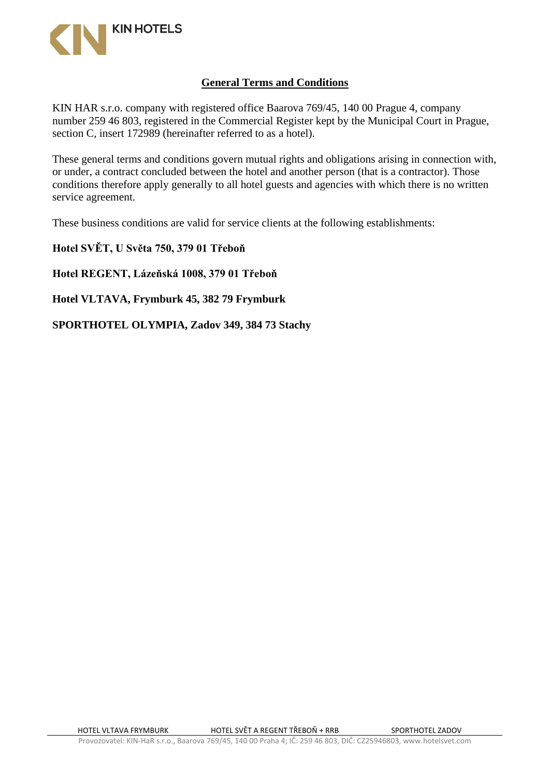

## **General Terms and Conditions**

KIN HAR s.r.o. company with registered office Baarova 769/45, 140 00 Prague 4, company number 259 46 803, registered in the Commercial Register kept by the Municipal Court in Prague, section C, insert 172989 (hereinafter referred to as a hotel).

These general terms and conditions govern mutual rights and obligations arising in connection with, or under, a contract concluded between the hotel and another person (that is a contractor). Those conditions therefore apply generally to all hotel guests and agencies with which there is no written service agreement.

These business conditions are valid for service clients at the following establishments:

**Hotel SVĚT, U Světa 750, 379 01 Třeboň**

**Hotel REGENT, Lázeňská 1008, 379 01 Třeboň**

**Hotel VLTAVA, Frymburk 45, 382 79 Frymburk**

**SPORTHOTEL OLYMPIA, Zadov 349, 384 73 Stachy**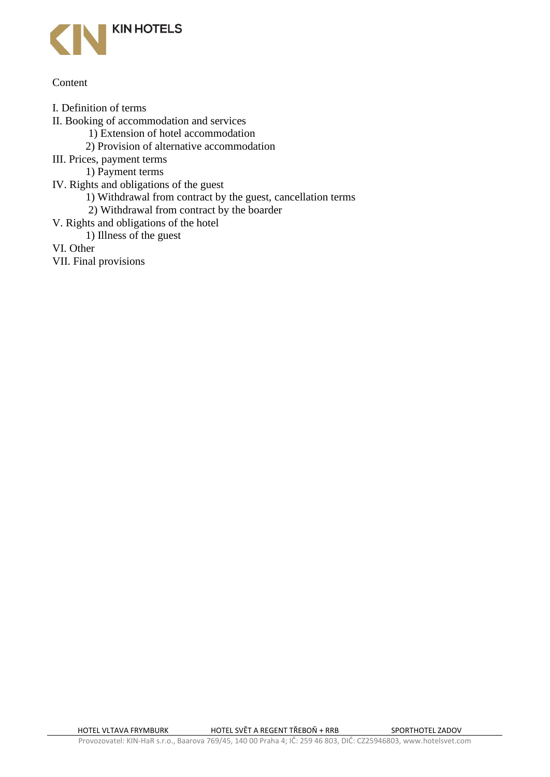

#### **Content**

- I. Definition of terms
- II. Booking of accommodation and services
	- 1) Extension of hotel accommodation
	- 2) Provision of alternative accommodation
- III. Prices, payment terms
	- 1) Payment terms
- IV. Rights and obligations of the guest
	- 1) Withdrawal from contract by the guest, cancellation terms
	- 2) Withdrawal from contract by the boarder
- V. Rights and obligations of the hotel
	- 1) Illness of the guest
- VI. Other
- VII. Final provisions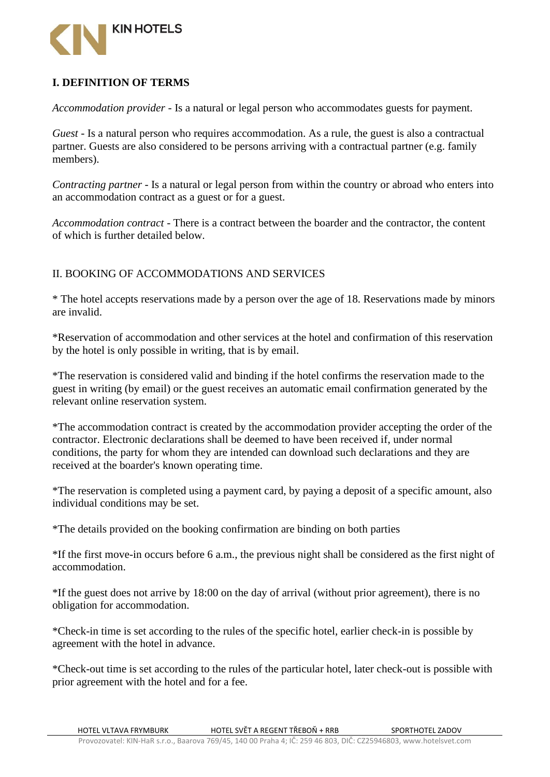

# **I. DEFINITION OF TERMS**

*Accommodation provider* - Is a natural or legal person who accommodates guests for payment.

*Guest* - Is a natural person who requires accommodation. As a rule, the guest is also a contractual partner. Guests are also considered to be persons arriving with a contractual partner (e.g. family members).

*Contracting partner* - Is a natural or legal person from within the country or abroad who enters into an accommodation contract as a guest or for a guest.

*Accommodation contract* - There is a contract between the boarder and the contractor, the content of which is further detailed below.

## II. BOOKING OF ACCOMMODATIONS AND SERVICES

\* The hotel accepts reservations made by a person over the age of 18. Reservations made by minors are invalid.

\*Reservation of accommodation and other services at the hotel and confirmation of this reservation by the hotel is only possible in writing, that is by email.

\*The reservation is considered valid and binding if the hotel confirms the reservation made to the guest in writing (by email) or the guest receives an automatic email confirmation generated by the relevant online reservation system.

\*The accommodation contract is created by the accommodation provider accepting the order of the contractor. Electronic declarations shall be deemed to have been received if, under normal conditions, the party for whom they are intended can download such declarations and they are received at the boarder's known operating time.

\*The reservation is completed using a payment card, by paying a deposit of a specific amount, also individual conditions may be set.

\*The details provided on the booking confirmation are binding on both parties

\*If the first move-in occurs before 6 a.m., the previous night shall be considered as the first night of accommodation.

\*If the guest does not arrive by 18:00 on the day of arrival (without prior agreement), there is no obligation for accommodation.

\*Check-in time is set according to the rules of the specific hotel, earlier check-in is possible by agreement with the hotel in advance.

\*Check-out time is set according to the rules of the particular hotel, later check-out is possible with prior agreement with the hotel and for a fee.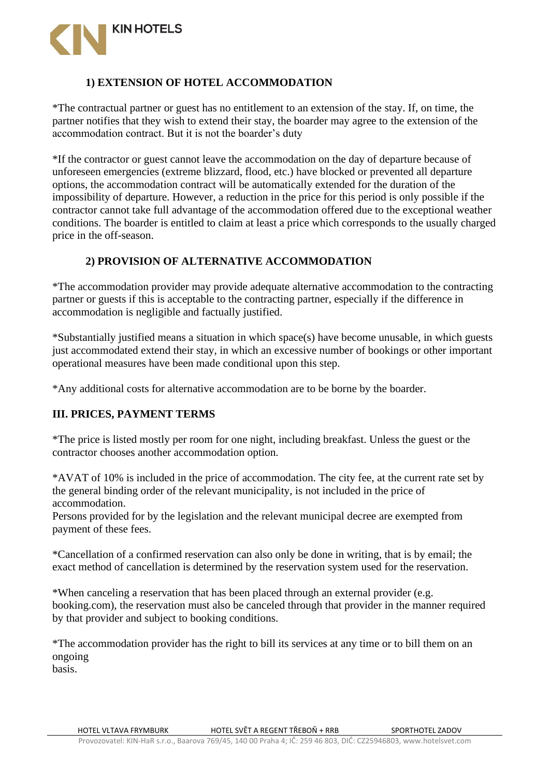

# **1) EXTENSION OF HOTEL ACCOMMODATION**

\*The contractual partner or guest has no entitlement to an extension of the stay. If, on time, the partner notifies that they wish to extend their stay, the boarder may agree to the extension of the accommodation contract. But it is not the boarder's duty

\*If the contractor or guest cannot leave the accommodation on the day of departure because of unforeseen emergencies (extreme blizzard, flood, etc.) have blocked or prevented all departure options, the accommodation contract will be automatically extended for the duration of the impossibility of departure. However, a reduction in the price for this period is only possible if the contractor cannot take full advantage of the accommodation offered due to the exceptional weather conditions. The boarder is entitled to claim at least a price which corresponds to the usually charged price in the off-season.

## **2) PROVISION OF ALTERNATIVE ACCOMMODATION**

\*The accommodation provider may provide adequate alternative accommodation to the contracting partner or guests if this is acceptable to the contracting partner, especially if the difference in accommodation is negligible and factually justified.

\*Substantially justified means a situation in which space(s) have become unusable, in which guests just accommodated extend their stay, in which an excessive number of bookings or other important operational measures have been made conditional upon this step.

\*Any additional costs for alternative accommodation are to be borne by the boarder.

# **III. PRICES, PAYMENT TERMS**

\*The price is listed mostly per room for one night, including breakfast. Unless the guest or the contractor chooses another accommodation option.

\*AVAT of 10% is included in the price of accommodation. The city fee, at the current rate set by the general binding order of the relevant municipality, is not included in the price of accommodation.

Persons provided for by the legislation and the relevant municipal decree are exempted from payment of these fees.

\*Cancellation of a confirmed reservation can also only be done in writing, that is by email; the exact method of cancellation is determined by the reservation system used for the reservation.

\*When canceling a reservation that has been placed through an external provider (e.g. booking.com), the reservation must also be canceled through that provider in the manner required by that provider and subject to booking conditions.

\*The accommodation provider has the right to bill its services at any time or to bill them on an ongoing basis.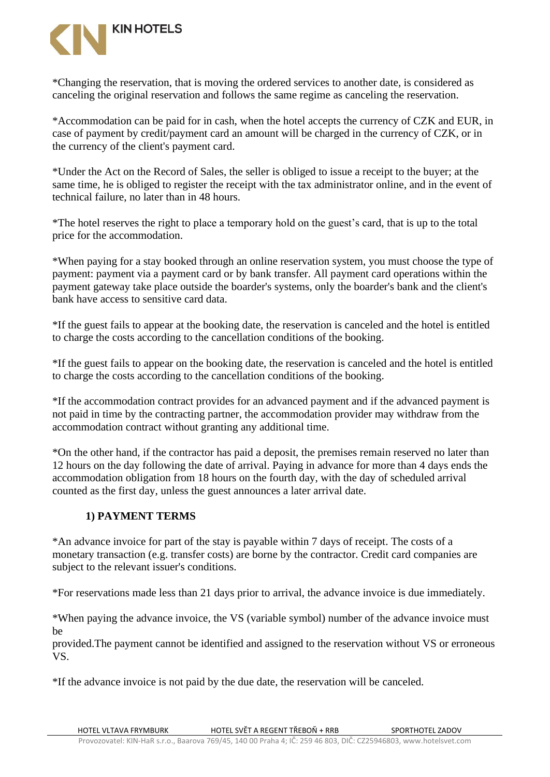

\*Changing the reservation, that is moving the ordered services to another date, is considered as canceling the original reservation and follows the same regime as canceling the reservation.

\*Accommodation can be paid for in cash, when the hotel accepts the currency of CZK and EUR, in case of payment by credit/payment card an amount will be charged in the currency of CZK, or in the currency of the client's payment card.

\*Under the Act on the Record of Sales, the seller is obliged to issue a receipt to the buyer; at the same time, he is obliged to register the receipt with the tax administrator online, and in the event of technical failure, no later than in 48 hours.

\*The hotel reserves the right to place a temporary hold on the guest's card, that is up to the total price for the accommodation.

\*When paying for a stay booked through an online reservation system, you must choose the type of payment: payment via a payment card or by bank transfer. All payment card operations within the payment gateway take place outside the boarder's systems, only the boarder's bank and the client's bank have access to sensitive card data.

\*If the guest fails to appear at the booking date, the reservation is canceled and the hotel is entitled to charge the costs according to the cancellation conditions of the booking.

\*If the guest fails to appear on the booking date, the reservation is canceled and the hotel is entitled to charge the costs according to the cancellation conditions of the booking.

\*If the accommodation contract provides for an advanced payment and if the advanced payment is not paid in time by the contracting partner, the accommodation provider may withdraw from the accommodation contract without granting any additional time.

\*On the other hand, if the contractor has paid a deposit, the premises remain reserved no later than 12 hours on the day following the date of arrival. Paying in advance for more than 4 days ends the accommodation obligation from 18 hours on the fourth day, with the day of scheduled arrival counted as the first day, unless the guest announces a later arrival date.

#### **1) PAYMENT TERMS**

\*An advance invoice for part of the stay is payable within 7 days of receipt. The costs of a monetary transaction (e.g. transfer costs) are borne by the contractor. Credit card companies are subject to the relevant issuer's conditions.

\*For reservations made less than 21 days prior to arrival, the advance invoice is due immediately.

\*When paying the advance invoice, the VS (variable symbol) number of the advance invoice must be

provided.The payment cannot be identified and assigned to the reservation without VS or erroneous VS.

\*If the advance invoice is not paid by the due date, the reservation will be canceled.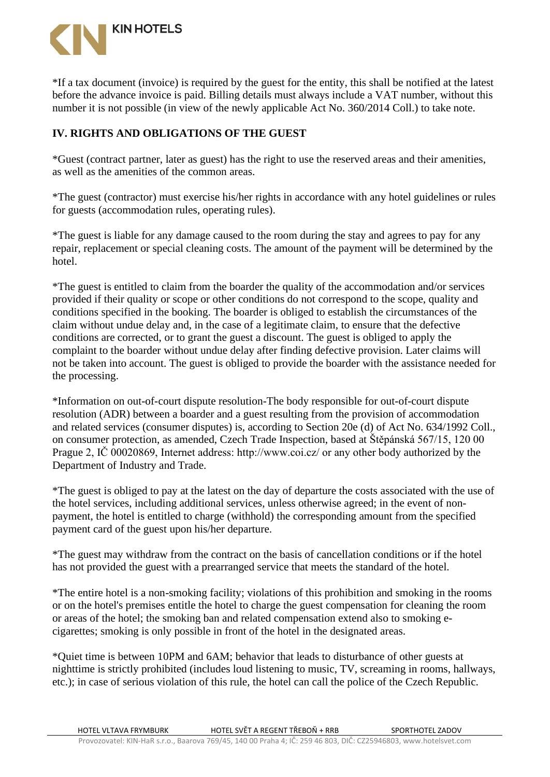

\*If a tax document (invoice) is required by the guest for the entity, this shall be notified at the latest before the advance invoice is paid. Billing details must always include a VAT number, without this number it is not possible (in view of the newly applicable Act No. 360/2014 Coll.) to take note.

## **IV. RIGHTS AND OBLIGATIONS OF THE GUEST**

\*Guest (contract partner, later as guest) has the right to use the reserved areas and their amenities, as well as the amenities of the common areas.

\*The guest (contractor) must exercise his/her rights in accordance with any hotel guidelines or rules for guests (accommodation rules, operating rules).

\*The guest is liable for any damage caused to the room during the stay and agrees to pay for any repair, replacement or special cleaning costs. The amount of the payment will be determined by the hotel.

\*The guest is entitled to claim from the boarder the quality of the accommodation and/or services provided if their quality or scope or other conditions do not correspond to the scope, quality and conditions specified in the booking. The boarder is obliged to establish the circumstances of the claim without undue delay and, in the case of a legitimate claim, to ensure that the defective conditions are corrected, or to grant the guest a discount. The guest is obliged to apply the complaint to the boarder without undue delay after finding defective provision. Later claims will not be taken into account. The guest is obliged to provide the boarder with the assistance needed for the processing.

\*Information on out-of-court dispute resolution-The body responsible for out-of-court dispute resolution (ADR) between a boarder and a guest resulting from the provision of accommodation and related services (consumer disputes) is, according to Section 20e (d) of Act No. 634/1992 Coll., on consumer protection, as amended, Czech Trade Inspection, based at Štěpánská 567/15, 120 00 Prague 2, IČ 00020869, Internet address: http://www.coi.cz/ or any other body authorized by the Department of Industry and Trade.

\*The guest is obliged to pay at the latest on the day of departure the costs associated with the use of the hotel services, including additional services, unless otherwise agreed; in the event of nonpayment, the hotel is entitled to charge (withhold) the corresponding amount from the specified payment card of the guest upon his/her departure.

\*The guest may withdraw from the contract on the basis of cancellation conditions or if the hotel has not provided the guest with a prearranged service that meets the standard of the hotel.

\*The entire hotel is a non-smoking facility; violations of this prohibition and smoking in the rooms or on the hotel's premises entitle the hotel to charge the guest compensation for cleaning the room or areas of the hotel; the smoking ban and related compensation extend also to smoking ecigarettes; smoking is only possible in front of the hotel in the designated areas.

\*Quiet time is between 10PM and 6AM; behavior that leads to disturbance of other guests at nighttime is strictly prohibited (includes loud listening to music, TV, screaming in rooms, hallways, etc.); in case of serious violation of this rule, the hotel can call the police of the Czech Republic.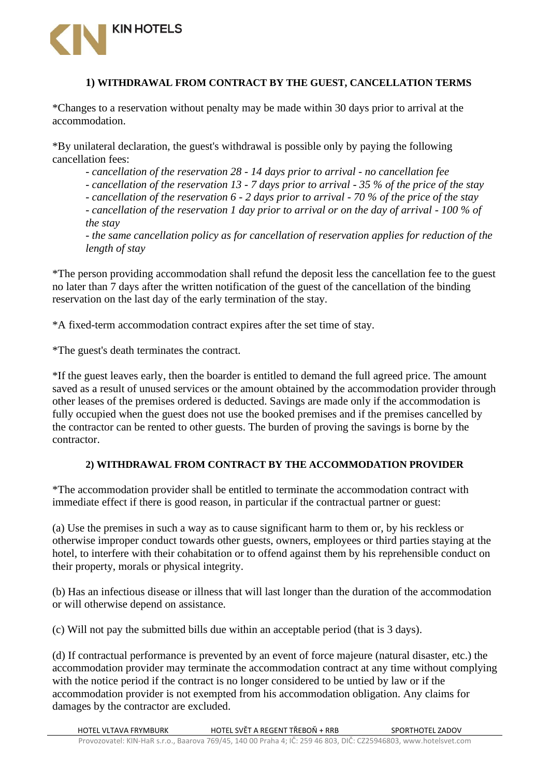

#### **1) WITHDRAWAL FROM CONTRACT BY THE GUEST, CANCELLATION TERMS**

\*Changes to a reservation without penalty may be made within 30 days prior to arrival at the accommodation.

\*By unilateral declaration, the guest's withdrawal is possible only by paying the following cancellation fees:

*- cancellation of the reservation 28 - 14 days prior to arrival - no cancellation fee*

*- cancellation of the reservation 13 - 7 days prior to arrival - 35 % of the price of the stay*

*- cancellation of the reservation 6 - 2 days prior to arrival - 70 % of the price of the stay - cancellation of the reservation 1 day prior to arrival or on the day of arrival - 100 % of the stay*

*- the same cancellation policy as for cancellation of reservation applies for reduction of the length of stay*

\*The person providing accommodation shall refund the deposit less the cancellation fee to the guest no later than 7 days after the written notification of the guest of the cancellation of the binding reservation on the last day of the early termination of the stay.

\*A fixed-term accommodation contract expires after the set time of stay.

\*The guest's death terminates the contract.

\*If the guest leaves early, then the boarder is entitled to demand the full agreed price. The amount saved as a result of unused services or the amount obtained by the accommodation provider through other leases of the premises ordered is deducted. Savings are made only if the accommodation is fully occupied when the guest does not use the booked premises and if the premises cancelled by the contractor can be rented to other guests. The burden of proving the savings is borne by the contractor.

#### **2) WITHDRAWAL FROM CONTRACT BY THE ACCOMMODATION PROVIDER**

\*The accommodation provider shall be entitled to terminate the accommodation contract with immediate effect if there is good reason, in particular if the contractual partner or guest:

(a) Use the premises in such a way as to cause significant harm to them or, by his reckless or otherwise improper conduct towards other guests, owners, employees or third parties staying at the hotel, to interfere with their cohabitation or to offend against them by his reprehensible conduct on their property, morals or physical integrity.

(b) Has an infectious disease or illness that will last longer than the duration of the accommodation or will otherwise depend on assistance.

(c) Will not pay the submitted bills due within an acceptable period (that is 3 days).

(d) If contractual performance is prevented by an event of force majeure (natural disaster, etc.) the accommodation provider may terminate the accommodation contract at any time without complying with the notice period if the contract is no longer considered to be untied by law or if the accommodation provider is not exempted from his accommodation obligation. Any claims for damages by the contractor are excluded.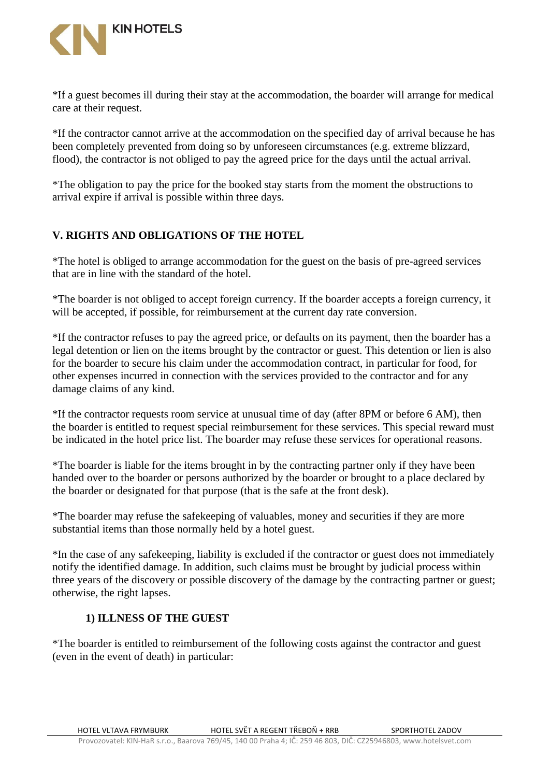

\*If a guest becomes ill during their stay at the accommodation, the boarder will arrange for medical care at their request.

\*If the contractor cannot arrive at the accommodation on the specified day of arrival because he has been completely prevented from doing so by unforeseen circumstances (e.g. extreme blizzard, flood), the contractor is not obliged to pay the agreed price for the days until the actual arrival.

\*The obligation to pay the price for the booked stay starts from the moment the obstructions to arrival expire if arrival is possible within three days.

## **V. RIGHTS AND OBLIGATIONS OF THE HOTEL**

\*The hotel is obliged to arrange accommodation for the guest on the basis of pre-agreed services that are in line with the standard of the hotel.

\*The boarder is not obliged to accept foreign currency. If the boarder accepts a foreign currency, it will be accepted, if possible, for reimbursement at the current day rate conversion.

\*If the contractor refuses to pay the agreed price, or defaults on its payment, then the boarder has a legal detention or lien on the items brought by the contractor or guest. This detention or lien is also for the boarder to secure his claim under the accommodation contract, in particular for food, for other expenses incurred in connection with the services provided to the contractor and for any damage claims of any kind.

\*If the contractor requests room service at unusual time of day (after 8PM or before 6 AM), then the boarder is entitled to request special reimbursement for these services. This special reward must be indicated in the hotel price list. The boarder may refuse these services for operational reasons.

\*The boarder is liable for the items brought in by the contracting partner only if they have been handed over to the boarder or persons authorized by the boarder or brought to a place declared by the boarder or designated for that purpose (that is the safe at the front desk).

\*The boarder may refuse the safekeeping of valuables, money and securities if they are more substantial items than those normally held by a hotel guest.

\*In the case of any safekeeping, liability is excluded if the contractor or guest does not immediately notify the identified damage. In addition, such claims must be brought by judicial process within three years of the discovery or possible discovery of the damage by the contracting partner or guest; otherwise, the right lapses.

#### **1) ILLNESS OF THE GUEST**

\*The boarder is entitled to reimbursement of the following costs against the contractor and guest (even in the event of death) in particular: